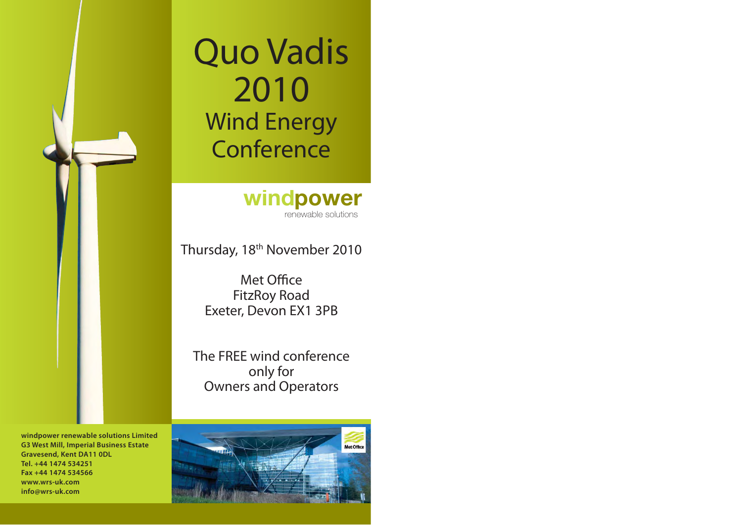# Quo Vadis 2010 Wind Energy Conference

windpower **i**renewable solutions

Thursday, 18<sup>th</sup> November 2010

Met Office FitzRoy Road Exeter, Devon EX1 3PB

The FREE wind conferenceonly for Owners and Operators

**windpower renewable solutions Limited G3 West Mill, Imperial Business Estate Gravesend, Kent DA11 0DL Tel. +44 1474 534251Fax +44 1474 534566www.wrs-uk.cominfo@wrs-uk.com**

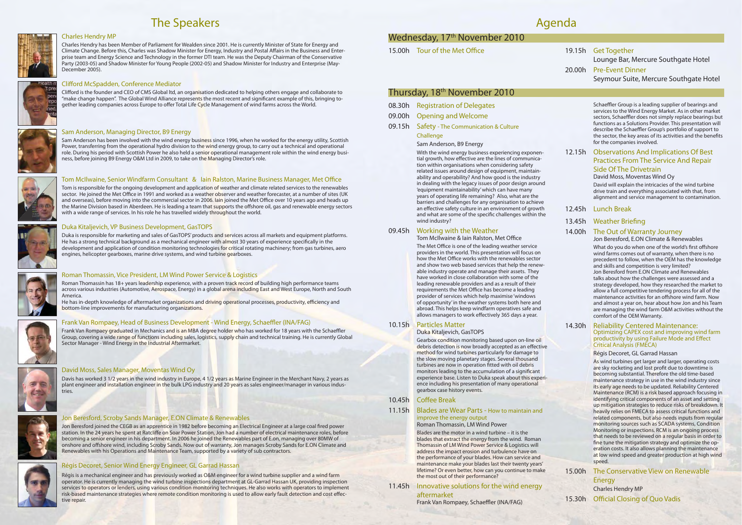## The Speakers



#### Charles Hendry MP

Charles Hendry has been Member of Parliament for Wealden since 2001. He is currently Minister of State for Energy and Climate Change. Before this, Charles was Shadow Minister for Energy, Industry and Postal Affairs in the Business and Enterprise team and Energy Science and Technology in the former DTI team. He was the Deputy Chairman of the Conservative Party (2003-05) and Shadow Minister for Young People (2002-05) and Shadow Minister for Industry and Enterprise (May-December 2005).

#### Clifford McSpadden, Conference Mediator

Clifford is the founder and CEO of CMS Global ltd, an organisation dedicated to helping others engage and collaborate to "make change happen". The Global Wind Alliance represents the most recent and significant example of this, bringing together leading companies across Europe to offer Total Life Cycle Management of wind farms across the World.



Roman Thomassin has 18+ years leadership experience, with a proven track record of building high performance teams across various industries (Automotive, Aerospace, Energy) in a global arena including East and West Europe, North and South America.

He has in-depth knowledge of aftermarket organizations and driving operational processes, productivity, efficiency and bottom-line improvements for manufacturing organizations.



#### Frank Van Rompaey, Head of Business Development - Wind Energy, Schaeffler (INA/FAG)

#### Duka Kitaljevich, VP Business Development, GasTOPS

Duka is responsible for marketing and sales of GasTOPS' products and services across all markets and equipment platforms. He has a strong technical background as a mechanical engineer with almost 30 years of experience specifically in the development and application of condition monitoring technologies for critical rotating machinery; from gas turbines, aero engines, helicopter gearboxes, marine drive systems, and wind turbine gearboxes.



Frank Van Rompaey graduated in Mechanics and is an MBA degree holder who has worked for 18 years with the Schaeffler Group, covering a wide range of functions including sales, logistics, supply chain and technical training. He is currently Global Sector Manager - Wind Energy in the Industrial Aftermarket.



#### Roman Thomassin, Vice President, LM Wind Power Service & Logistics

Sam Anderson has been involved with the wind energy business since 1996, when he worked for the energy utility, Scottish Power, transferring from the operational hydro division to the wind energy group, to carry out a technical and operational role. During his period with Scottish Power he also held a senior operational management role within the wind energy business, before joining B9 Energy O&M Ltd in 2009, to take on the Managing Director's role.



#### Tom McIlwaine, Senior Windfarm Consultant & lain Ralston, Marine Business Manager, Met Office

Tom is responsible for the ongoing development and application of weather and climate related services to the renewables sector. He joined the Met Office in 1991 and worked as a weather observer and weather forecaster, at a number of sites (UK and overseas), before moving into the commercial sector in 2006. Iain joined the Met Office over 10 years ago and heads up the Marine Division based in Aberdeen. He is leading a team that supports the offshore oil, gas and renewable energy sectors with a wide range of services. In his role he has travelled widely throughout the world.

#### David Moss, Sales Manager, Moventas Wind Oy

Davis has worked 3 1/2 years in the wind industry in Europe, 4 1/2 years as Marine Engineer in the Merchant Navy, 2 years as plant engineer and installation engineer in the bulk LPG industry and 20 years as sales engineer/manager in various indus-



tries.

#### Jon Beresford, Scroby Sands Manager, E.ON Climate & Renewables

Jon Beresford joined the CEGB as an apprentice in 1982 before becoming an Electrical Engineer at a large coal fired power station. In the 24 years he spent at Ratcliffe on Soar Power Station, Jon had a number of electrical maintenance roles, before becoming a senior engineer in his department. In 2006 he joined the Renewables part of E.on, managing over 80MW of onshore and offshore wind, including Scroby Sands. Now out of warranty, Jon manages Scroby Sands for E.ON Climate and Renewables with his Operations and Maintenance Team, supported by a variety of sub contractors.



## Régis Decoret, Senior Wind Energy Engineer, GL Garrad Hassan

Régis is a mechanical engineer and has previously worked as O&M engineer for a wind turbine supplier and a wind farm operator. He is currently managing the wind turbine inspections department at GL-Garrad Hassan UK, providing inspection services to operators or lenders, using various condition monitoring techniques. He also works with operators to implement risk-based maintenance strategies where remote condition monitoring is used to allow early fault detection and cost effective repair.

## Wednesday, 17<sup>th</sup> November 2010

15.00h Tour of the Met Office

#### Sam Anderson, Managing Director, B9 Energy

Schaeffler Group is a leading supplier of bearings and services to the Wind Energy Market. As in other market sectors, Schaeffler does not simply replace bearings but functions as a Solutions Provider. This presentation will describe the Schaeffler Group's portfolio of support to the sector, the key areas of its activities and the benefits for the companies involved.

What do you do when one of the world's first offshore wind farms comes out of warranty, when there is no precedent to follow, when the OEM has the knowledge and skills and competition is very limited? Jon Beresford from E.ON Climate and Renewables talks about how the challenges were assessed and a strategy developed, how they researched the market to allow a full competitive tendering process for all of the maintenance activities for an offshore wind farm. Now and almost a year on, hear about how Jon and his Team are managing the wind farm O&M activities without the comfort of the OEM Warranty.

| 08.30h | <b>Registration of Delegates</b> |
|--------|----------------------------------|
|        |                                  |

- 09.00h Opening and Welcome
- 09.15h Safety The Communication & Culture

## **Challenge**

Sam Anderson, B9 Energy

## 15.00h The Conservative View on Renewable Energy Charles Hendry MP 15.30h Official Closing of Quo Vadis

With the wind energy business experiencing exponential growth, how effective are the lines of communication within organisations when considering safety related issues around design of equipment, maintainability and operability? And how good is the industry in dealing with the legacy issues of poor design around 'equipment maintainability' which can have many years of operating life remaining? Also, what are the barriers and challenges for any organisation to achieve an effective safety culture in an environment of growth and what are some of the specific challenges within the wind industry?

#### 09.45h Working with the Weather

Tom McIlwaine & Iain Ralston, Met Office

The Met Office is one of the leading weather service providers in the world. This presentation will focus on how the Met Office works with the renewables sector and show two web based services that help the renewable industry operate and manage their assets. They have worked in close collaboration with some of the leading renewable providers and as a result of their requirements the Met Office has become a leading provider of services which help maximise 'windows of opportunity' in the weather systems both here and abroad. This helps keep windfarm operatives safe and allows managers to work effectively 365 days a year.

#### 10.15h Particles Matter

#### Duka Kitaljevich, GasTOPS

Gearbox condition monitoring based upon on-line oil debris detection is now broadly accepted as an effective method for wind turbines particularly for damage to the slow moving planetary stages. Several thousand turbines are now in operation fitted with oil debris monitors leading to the accumulation of a significant experience base. Listen to Duka speak about this experience including his presentation of many operational gearbox case history events.

#### 10.45h Coffee Break

#### 11.15h Blades are Wear Parts - How to maintain and improve the energy output Roman Thomassin, LM Wind Power

Blades are the motor in a wind turbine – it is the blades that extract the energy from the wind. Roman Thomassin of LM Wind Power Service & Logistics will address the impact erosion and turbulence have on the performance of your blades. How can service and maintenance make your blades last their twenty years' lifetime? Or even better, how can you continue to make the most out of their performance?

11.45h Innovative solutions for the wind energy aftermarket

Frank Van Rompaey, Schaeffler (INA/FAG)

## 19.15h Get Together Lounge Bar, Mercure Southgate Hotel 20.00h Pre-Event DinnerSeymour Suite, Mercure Southgate Hotel

## Thursday, 18th November 2010

## 12.15h Observations And Implications Of Best Practices From The Service And Repair Side Of The Drivetrain

#### David Moss, Moventas Wind Oy

David will explain the intricacies of the wind turbine drive train and everything associated with that, from alignment and service management to contamination.

### 12.45h Lunch Break

## 13.45h Weather Briefing

## 14.00h The Out of Warranty Journey

#### Jon Beresford, E.ON Climate & Renewables

#### 14.30h Reliability Centered Maintenance: Optimizing CAPEX cost and improving wind farm productivity by using Failure Mode and Effect Critical Analysis (FMECA)

#### Régis Decoret, GL Garrad Hassan

As wind turbines get larger and larger, operating costs are sky rocketing and lost profit due to downtime is becoming substantial. Therefore the old time-based maintenance strategy in use in the wind industry since its early age needs to be updated. Reliability Centered Maintenance (RCM) is a risk based approach focusing in identifying critical components of an asset and setting up mitigation strategies to reduce risks of breakdown. It heavily relies on FMECA to assess critical functions and related components, but also needs inputs from regular monitoring sources such as SCADA systems, Condition Monitoring or inspections. RCM is an ongoing process that needs to be reviewed on a regular basis in order to fine tune the mitigation strategy and optimize the operation costs. It also allows planning the maintenance at low wind speed and greater production at high wind speed.